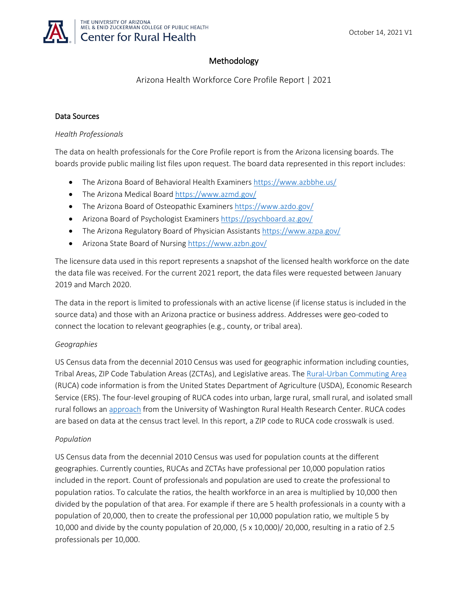

# Methodology

Arizona Health Workforce Core Profile Report | 2021

### Data Sources

#### *Health Professionals*

The data on health professionals for the Core Profile report is from the Arizona licensing boards. The boards provide public mailing list files upon request. The board data represented in this report includes:

- The Arizona Board of Behavioral Health Examiners <https://www.azbbhe.us/>
- The Arizona Medical Board <https://www.azmd.gov/>
- The Arizona Board of Osteopathic Examiners <https://www.azdo.gov/>
- Arizona Board of Psychologist Examiners<https://psychboard.az.gov/>
- The Arizona Regulatory Board of Physician Assistants<https://www.azpa.gov/>
- Arizona State Board of Nursing <https://www.azbn.gov/>

The licensure data used in this report represents a snapshot of the licensed health workforce on the date the data file was received. For the current 2021 report, the data files were requested between January 2019 and March 2020.

The data in the report is limited to professionals with an active license (if license status is included in the source data) and those with an Arizona practice or business address. Addresses were geo-coded to connect the location to relevant geographies (e.g., county, or tribal area).

# *Geographies*

US Census data from the decennial 2010 Census was used for geographic information including counties, Tribal Areas, ZIP Code Tabulation Areas (ZCTAs), and Legislative areas. The [Rural-Urban Commuting Area](https://www.ers.usda.gov/data-products/rural-urban-commuting-area-codes/) (RUCA) code information is from the United States Department of Agriculture (USDA), Economic Research Service (ERS). The four-level grouping of RUCA codes into urban, large rural, small rural, and isolated small rural follows an [approach](https://depts.washington.edu/uwruca/) from the University of Washington Rural Health Research Center. RUCA codes are based on data at the census tract level. In this report, a ZIP code to RUCA code crosswalk is used.

#### *Population*

US Census data from the decennial 2010 Census was used for population counts at the different geographies. Currently counties, RUCAs and ZCTAs have professional per 10,000 population ratios included in the report. Count of professionals and population are used to create the professional to population ratios. To calculate the ratios, the health workforce in an area is multiplied by 10,000 then divided by the population of that area. For example if there are 5 health professionals in a county with a population of 20,000, then to create the professional per 10,000 population ratio, we multiple 5 by 10,000 and divide by the county population of 20,000, (5 x 10,000)/ 20,000, resulting in a ratio of 2.5 professionals per 10,000.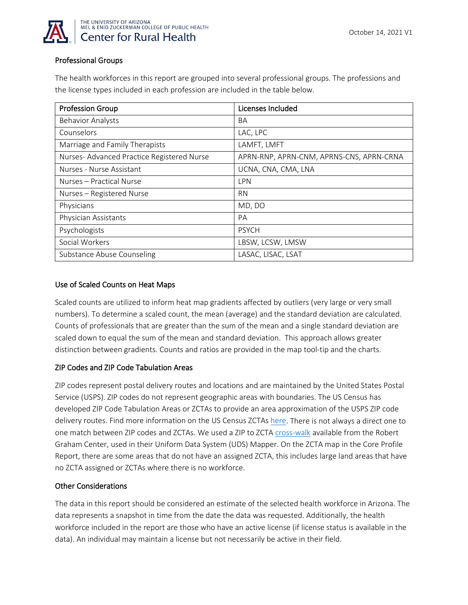

# Professional Groups

The health workforces in this report are grouped into several professional groups. The professions and the license types included in each profession are included in the table below.

| <b>Profession Group</b>                   | Licenses Included                        |
|-------------------------------------------|------------------------------------------|
| <b>Behavior Analysts</b>                  | BA                                       |
| Counselors                                | LAC, LPC                                 |
| Marriage and Family Therapists            | LAMFT, LMFT                              |
| Nurses-Advanced Practice Registered Nurse | APRN-RNP, APRN-CNM, APRNS-CNS, APRN-CRNA |
| Nurses - Nurse Assistant                  | UCNA, CNA, CMA, LNA                      |
| Nurses - Practical Nurse                  | LPN                                      |
| Nurses - Registered Nurse                 | <b>RN</b>                                |
| Physicians                                | MD, DO                                   |
| Physician Assistants                      | PA                                       |
| Psychologists                             | <b>PSYCH</b>                             |
| Social Workers                            | LBSW, LCSW, LMSW                         |
| Substance Abuse Counseling                | LASAC, LISAC, LSAT                       |

#### Use of Scaled Counts on Heat Maps

Scaled counts are utilized to inform heat map gradients affected by outliers (very large or very small numbers). To determine a scaled count, the mean (average) and the standard deviation are calculated. Counts of professionals that are greater than the sum of the mean and a single standard deviation are scaled down to equal the sum of the mean and standard deviation. This approach allows greater distinction between gradients. Counts and ratios are provided in the map tool-tip and the charts.

# ZIP Codes and ZIP Code Tabulation Areas

ZIP codes represent postal delivery routes and locations and are maintained by the United States Postal Service (USPS). ZIP codes do not represent geographic areas with boundaries. The US Census has developed ZIP Code Tabulation Areas or ZCTAs to provide an area approximation of the USPS ZIP code delivery routes. Find more information on the US Census ZCTAs [here.](https://www.census.gov/programs-surveys/geography/guidance/geo-areas/zctas.html) There is not always a direct one to one match between ZIP codes and ZCTAs. We used a ZIP to ZCTA [cross-walk](https://udsmapper.org/zip-code-to-zcta-crosswalk/) available from the Robert Graham Center, used in their Uniform Data System (UDS) Mapper. On the ZCTA map in the Core Profile Report, there are some areas that do not have an assigned ZCTA, this includes large land areas that have no ZCTA assigned or ZCTAs where there is no workforce.

#### Other Considerations

The data in this report should be considered an estimate of the selected health workforce in Arizona. The data represents a snapshot in time from the date the data was requested. Additionally, the health workforce included in the report are those who have an active license (if license status is available in the data). An individual may maintain a license but not necessarily be active in their field.